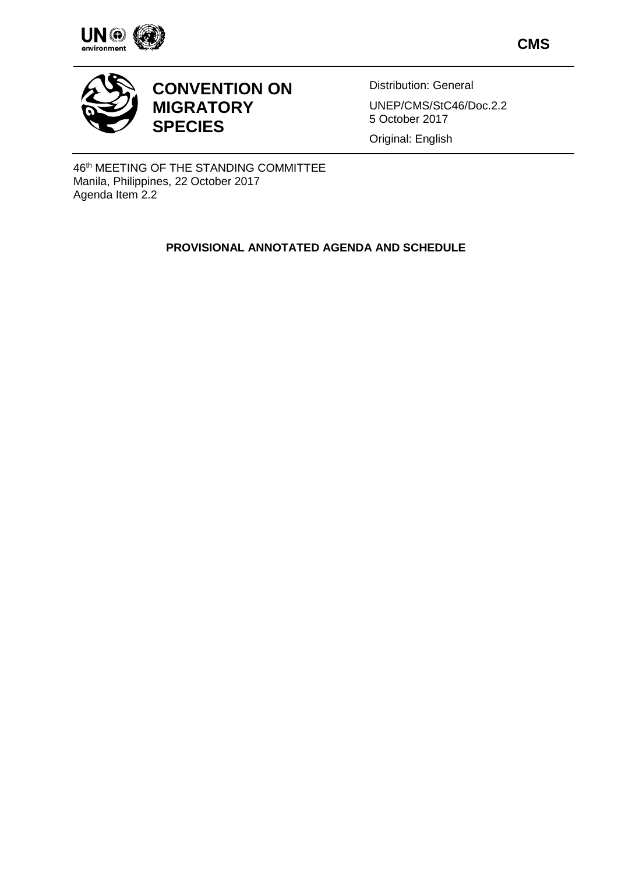

**CMS**



## **CONVENTION ON MIGRATORY SPECIES**

Distribution: General UNEP/CMS/StC46/Doc.2.2

5 October 2017

Original: English

46th MEETING OF THE STANDING COMMITTEE Manila, Philippines, 22 October 2017 Agenda Item 2.2

## **PROVISIONAL ANNOTATED AGENDA AND SCHEDULE**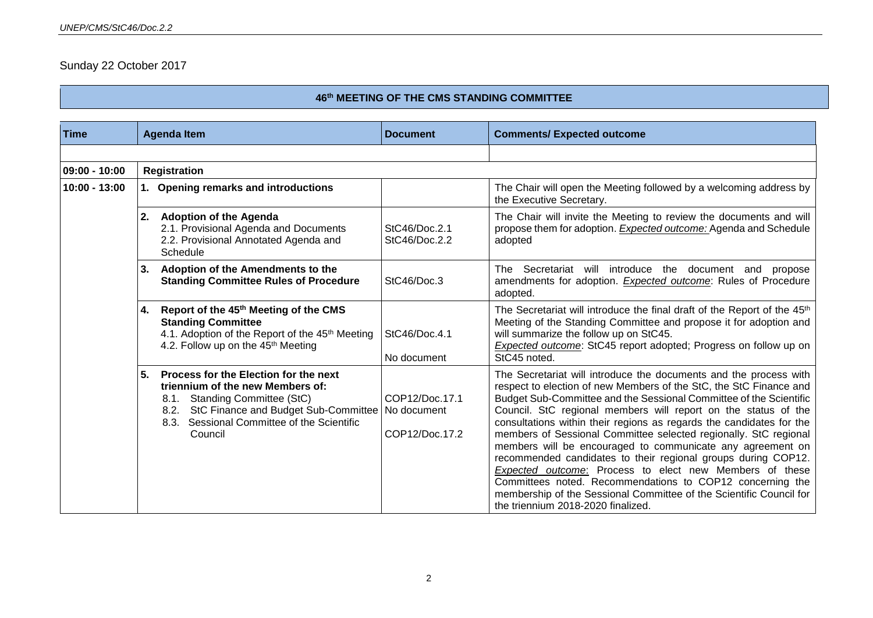## Sunday 22 October 2017

## **46 th MEETING OF THE CMS STANDING COMMITTEE**

| <b>Time</b>     | <b>Agenda Item</b>                                                                                                                                                                                                                                   | <b>Document</b>                  | <b>Comments/ Expected outcome</b>                                                                                                                                                                                                                                                                                                                                                                                                                                                                                                                                                                                                                                                                                                                                                               |
|-----------------|------------------------------------------------------------------------------------------------------------------------------------------------------------------------------------------------------------------------------------------------------|----------------------------------|-------------------------------------------------------------------------------------------------------------------------------------------------------------------------------------------------------------------------------------------------------------------------------------------------------------------------------------------------------------------------------------------------------------------------------------------------------------------------------------------------------------------------------------------------------------------------------------------------------------------------------------------------------------------------------------------------------------------------------------------------------------------------------------------------|
|                 |                                                                                                                                                                                                                                                      |                                  |                                                                                                                                                                                                                                                                                                                                                                                                                                                                                                                                                                                                                                                                                                                                                                                                 |
| $09:00 - 10:00$ | <b>Registration</b>                                                                                                                                                                                                                                  |                                  |                                                                                                                                                                                                                                                                                                                                                                                                                                                                                                                                                                                                                                                                                                                                                                                                 |
| $10:00 - 13:00$ | 1. Opening remarks and introductions                                                                                                                                                                                                                 |                                  | The Chair will open the Meeting followed by a welcoming address by<br>the Executive Secretary.                                                                                                                                                                                                                                                                                                                                                                                                                                                                                                                                                                                                                                                                                                  |
|                 | <b>Adoption of the Agenda</b><br>2.<br>2.1. Provisional Agenda and Documents<br>2.2. Provisional Annotated Agenda and<br>Schedule                                                                                                                    | StC46/Doc.2.1<br>StC46/Doc.2.2   | The Chair will invite the Meeting to review the documents and will<br>propose them for adoption. Expected outcome: Agenda and Schedule<br>adopted                                                                                                                                                                                                                                                                                                                                                                                                                                                                                                                                                                                                                                               |
|                 | Adoption of the Amendments to the<br>3.<br><b>Standing Committee Rules of Procedure</b>                                                                                                                                                              | StC46/Doc.3                      | Secretariat will introduce the document and<br>The<br>propose<br>amendments for adoption. Expected outcome: Rules of Procedure<br>adopted.                                                                                                                                                                                                                                                                                                                                                                                                                                                                                                                                                                                                                                                      |
|                 | Report of the 45 <sup>th</sup> Meeting of the CMS<br>4.<br><b>Standing Committee</b><br>4.1. Adoption of the Report of the 45 <sup>th</sup> Meeting<br>4.2. Follow up on the 45 <sup>th</sup> Meeting                                                | StC46/Doc.4.1<br>No document     | The Secretariat will introduce the final draft of the Report of the 45 <sup>th</sup><br>Meeting of the Standing Committee and propose it for adoption and<br>will summarize the follow up on StC45.<br><b>Expected outcome:</b> StC45 report adopted; Progress on follow up on<br>StC45 noted.                                                                                                                                                                                                                                                                                                                                                                                                                                                                                                  |
|                 | 5.<br>Process for the Election for the next<br>triennium of the new Members of:<br><b>Standing Committee (StC)</b><br>8.1.<br>StC Finance and Budget Sub-Committee   No document<br>8.2.<br>Sessional Committee of the Scientific<br>8.3.<br>Council | COP12/Doc.17.1<br>COP12/Doc.17.2 | The Secretariat will introduce the documents and the process with<br>respect to election of new Members of the StC, the StC Finance and<br>Budget Sub-Committee and the Sessional Committee of the Scientific<br>Council. StC regional members will report on the status of the<br>consultations within their regions as regards the candidates for the<br>members of Sessional Committee selected regionally. StC regional<br>members will be encouraged to communicate any agreement on<br>recommended candidates to their regional groups during COP12.<br>Expected outcome: Process to elect new Members of these<br>Committees noted. Recommendations to COP12 concerning the<br>membership of the Sessional Committee of the Scientific Council for<br>the triennium 2018-2020 finalized. |